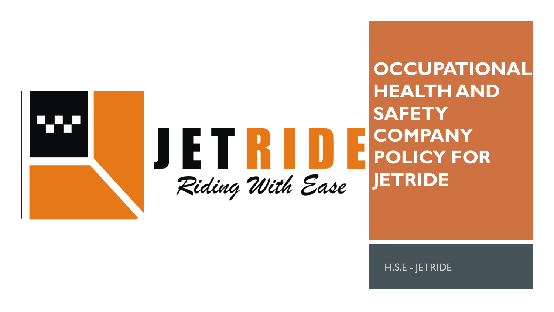

H.S.E - JETRIDE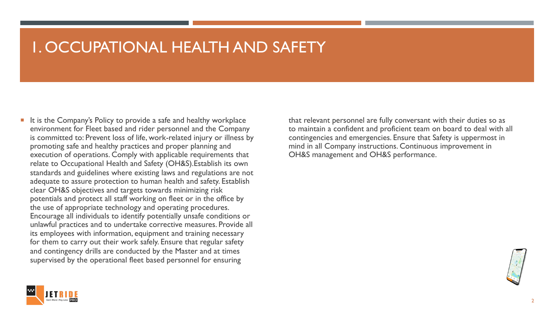#### 1. OCCUPATIONAL HEALTH AND SAFETY

■ It is the Company's Policy to provide a safe and healthy workplace environment for Fleet based and rider personnel and the Company is committed to: Prevent loss of life, work-related injury or illness by promoting safe and healthy practices and proper planning and execution of operations. Comply with applicable requirements that relate to Occupational Health and Safety (OH&S).Establish its own standards and guidelines where existing laws and regulations are not adequate to assure protection to human health and safety. Establish clear OH&S objectives and targets towards minimizing risk potentials and protect all staff working on fleet or in the office by the use of appropriate technology and operating procedures. Encourage all individuals to identify potentially unsafe conditions or unlawful practices and to undertake corrective measures. Provide all its employees with information, equipment and training necessary for them to carry out their work safely. Ensure that regular safety and contingency drills are conducted by the Master and at times supervised by the operational fleet based personnel for ensuring

that relevant personnel are fully conversant with their duties so as to maintain a confident and proficient team on board to deal with all contingencies and emergencies. Ensure that Safety is uppermost in mind in all Company instructions. Continuous improvement in OH&S management and OH&S performance.

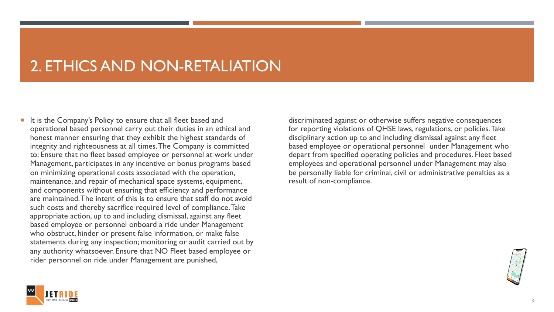## 2. ETHICS AND NON-RETALIATION

■ It is the Company's Policy to ensure that all fleet based and operational based personnel carry out their duties in an ethical and honest manner ensuring that they exhibit the highest standards of integrity and righteousness at all times. The Company is committed to: Ensure that no fleet based employee or personnel at work under Management, participates in any incentive or bonus programs based on minimizing operational costs associated with the operation, maintenance, and repair of mechanical space systems, equipment, and components without ensuring that efficiency and performance are maintained. The intent of this is to ensure that staff do not avoid such costs and thereby sacrifice required level of compliance. Take appropriate action, up to and including dismissal, against any fleet based employee or personnel onboard a ride under Management who obstruct, hinder or present false information, or make false statements during any inspection; monitoring or audit carried out by any authority whatsoever. Ensure that NO Fleet based employee or rider personnel on ride under Management are punished,

discriminated against or otherwise suffers negative consequences for reporting violations of QHSE laws, regulations, or policies. Take disciplinary action up to and including dismissal against any fleet based employee or operational personnel under Management who depart from specified operating policies and procedures. Fleet based employees and operational personnel under Management may also be personally liable for criminal, civil or administrative penalties as a result of non-compliance.

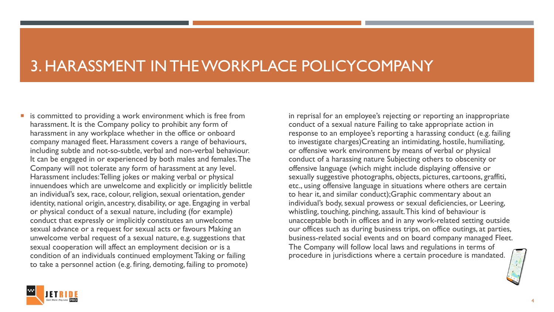## 3. HARASSMENT IN THE WORKPLACE POLICYCOMPANY

■ is committed to providing a work environment which is free from harassment. It is the Company policy to prohibit any form of harassment in any workplace whether in the office or onboard company managed fleet. Harassment covers a range of behaviours, including subtle and not-so-subtle, verbal and non-verbal behaviour. It can be engaged in or experienced by both males and females. The Company will not tolerate any form of harassment at any level. Harassment includes: Telling jokes or making verbal or physical innuendoes which are unwelcome and explicitly or implicitly belittle an individual's sex, race, colour, religion, sexual orientation, gender identity, national origin, ancestry, disability, or age. Engaging in verbal or physical conduct of a sexual nature, including (for example) conduct that expressly or implicitly constitutes an unwelcome sexual advance or a request for sexual acts or favours Making an unwelcome verbal request of a sexual nature, e.g. suggestions that sexual cooperation will affect an employment decision or is a condition of an individuals continued employment Taking or failing to take a personnel action (e.g. firing, demoting, failing to promote)

in reprisal for an employee's rejecting or reporting an inappropriate conduct of a sexual nature Failing to take appropriate action in response to an employee's reporting a harassing conduct (e.g. failing to investigate charges)Creating an intimidating, hostile, humiliating, or offensive work environment by means of verbal or physical conduct of a harassing nature Subjecting others to obscenity or offensive language (which might include displaying offensive or sexually suggestive photographs, objects, pictures, cartoons, graffiti, etc., using offensive language in situations where others are certain to hear it, and similar conduct);Graphic commentary about an individual's body, sexual prowess or sexual deficiencies, or Leering, whistling, touching, pinching, assault. This kind of behaviour is unacceptable both in offices and in any work-related setting outside our offices such as during business trips, on office outings, at parties, business-related social events and on board company managed Fleet. The Company will follow local laws and regulations in terms of procedure in jurisdictions where a certain procedure is mandated.

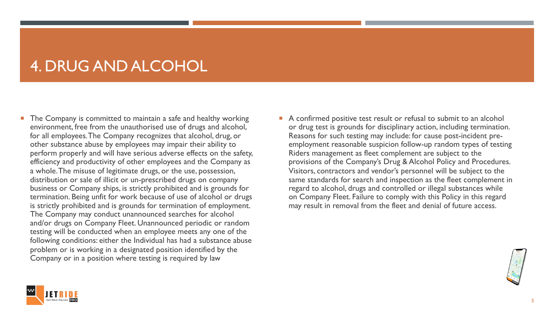#### 4. DRUG AND ALCOHOL

- The Company is committed to maintain a safe and healthy working environment, free from the unauthorised use of drugs and alcohol, for all employees. The Company recognizes that alcohol, drug, or other substance abuse by employees may impair their ability to perform properly and will have serious adverse effects on the safety, efficiency and productivity of other employees and the Company as a whole. The misuse of legitimate drugs, or the use, possession, distribution or sale of illicit or un-prescribed drugs on company business or Company ships, is strictly prohibited and is grounds for termination. Being unfit for work because of use of alcohol or drugs is strictly prohibited and is grounds for termination of employment. The Company may conduct unannounced searches for alcohol and/or drugs on Company Fleet. Unannounced periodic or random testing will be conducted when an employee meets any one of the following conditions: either the Individual has had a substance abuse problem or is working in a designated position identified by the Company or in a position where testing is required by law
- A confirmed positive test result or refusal to submit to an alcohol or drug test is grounds for disciplinary action, including termination. Reasons for such testing may include: for cause post-incident preemployment reasonable suspicion follow-up random types of testing Riders management as fleet complement are subject to the provisions of the Company's Drug & Alcohol Policy and Procedures. Visitors, contractors and vendor's personnel will be subject to the same standards for search and inspection as the fleet complement in regard to alcohol, drugs and controlled or illegal substances while on Company Fleet. Failure to comply with this Policy in this regard may result in removal from the fleet and denial of future access.

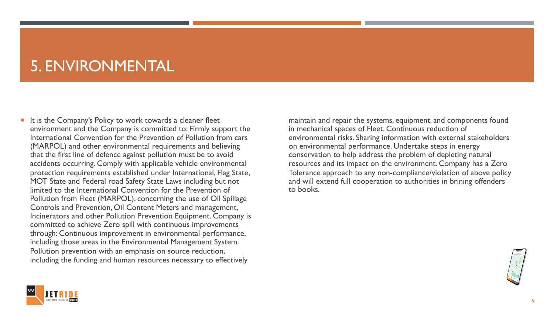## 5. ENVIRONMENTAL

 $\blacksquare$  It is the Company's Policy to work towards a cleaner fleet environment and the Company is committed to: Firmly support the International Convention for the Prevention of Pollution from cars (MARPOL) and other environmental requirements and believing that the first line of defence against pollution must be to avoid accidents occurring. Comply with applicable vehicle environmental protection requirements established under International, Flag State, MOT State and Federal road Safety State Laws including but not limited to the International Convention for the Prevention of Pollution from Fleet (MARPOL), concerning the use of Oil Spillage Controls and Prevention, Oil Content Meters and management, Incinerators and other Pollution Prevention Equipment. Company is committed to achieve Zero spill with continuous improvements through: Continuous improvement in environmental performance, including those areas in the Environmental Management System. Pollution prevention with an emphasis on source reduction, including the funding and human resources necessary to effectively

maintain and repair the systems, equipment, and components found in mechanical spaces of Fleet. Continuous reduction of environmental risks. Sharing information with external stakeholders on environmental performance. Undertake steps in energy conservation to help address the problem of depleting natural resources and its impact on the environment. Company has a Zero Tolerance approach to any non-compliance/violation of above policy and will extend full cooperation to authorities in brining offenders to books.



6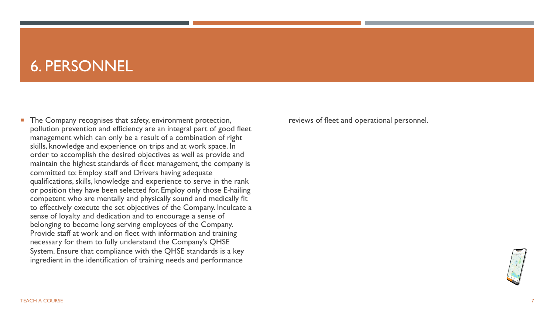#### 6. PERSONNEL

■ The Company recognises that safety, environment protection, pollution prevention and efficiency are an integral part of good fleet management which can only be a result of a combination of right skills, knowledge and experience on trips and at work space. In order to accomplish the desired objectives as well as provide and maintain the highest standards of fleet management, the company is committed to: Employ staff and Drivers having adequate qualifications, skills, knowledge and experience to serve in the rank or position they have been selected for. Employ only those E-hailing competent who are mentally and physically sound and medically fit to effectively execute the set objectives of the Company. Inculcate a sense of loyalty and dedication and to encourage a sense of belonging to become long serving employees of the Company. Provide staff at work and on fleet with information and training necessary for them to fully understand the Company's QHSE System. Ensure that compliance with the QHSE standards is a key ingredient in the identification of training needs and performance

reviews of fleet and operational personnel.

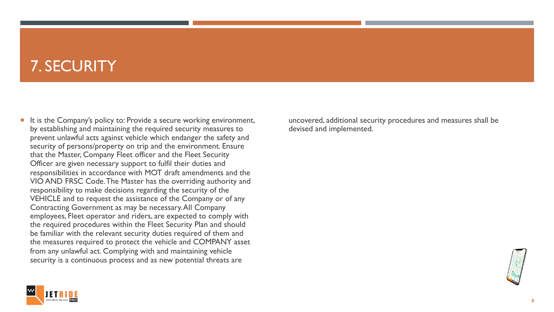## 7. SECURITY

■ It is the Company's policy to: Provide a secure working environment, by establishing and maintaining the required security measures to prevent unlawful acts against vehicle which endanger the safety and security of persons/property on trip and the environment. Ensure that the Master, Company Fleet officer and the Fleet Security Officer are given necessary support to fulfil their duties and responsibilities in accordance with MOT draft amendments and the VIO AND FRSC Code. The Master has the overriding authority and responsibility to make decisions regarding the security of the VEHICLE and to request the assistance of the Company or of any Contracting Government as may be necessary. All Company employees, Fleet operator and riders, are expected to comply with the required procedures within the Fleet Security Plan and should be familiar with the relevant security duties required of them and the measures required to protect the vehicle and COMPANY asset from any unlawful act. Complying with and maintaining vehicle security is a continuous process and as new potential threats are

uncovered, additional security procedures and measures shall be devised and implemented.

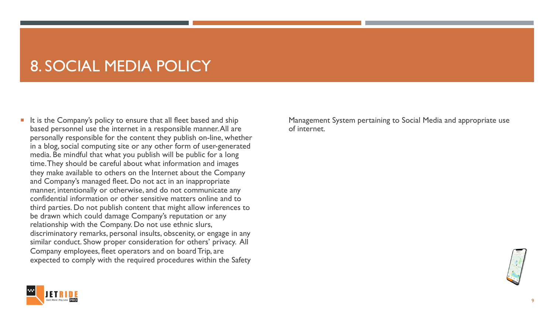# 8. SOCIAL MEDIA POLICY

■ It is the Company's policy to ensure that all fleet based and ship based personnel use the internet in a responsible manner. All are personally responsible for the content they publish on-line, whether in a blog, social computing site or any other form of user-generated media. Be mindful that what you publish will be public for a long time. They should be careful about what information and images they make available to others on the Internet about the Company and Company's managed fleet. Do not act in an inappropriate manner, intentionally or otherwise, and do not communicate any confidential information or other sensitive matters online and to third parties. Do not publish content that might allow inferences to be drawn which could damage Company's reputation or any relationship with the Company. Do not use ethnic slurs, discriminatory remarks, personal insults, obscenity, or engage in any similar conduct. Show proper consideration for others' privacy. All Company employees, fleet operators and on board Trip, are expected to comply with the required procedures within the Safety

Management System pertaining to Social Media and appropriate use of internet.